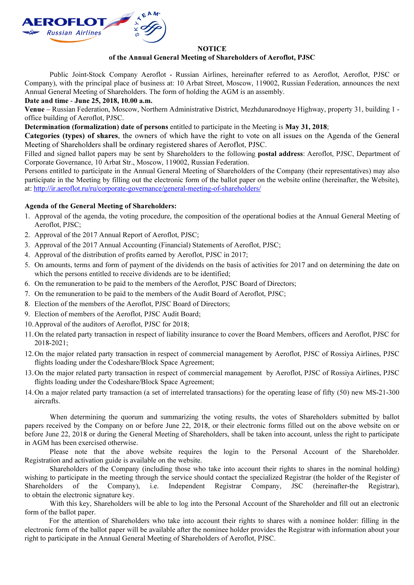

## **NOTICE**

## of the Annual General Meeting of Shareholders of Aeroflot, PJSC

Public Joint-Stock Company Aeroflot - Russian Airlines, hereinafter referred to as Aeroflot, Aeroflot, PJSC or Company), with the principal place of business at: 10 Arbat Street, Moscow, 119002, Russian Federation, announces the next Annual General Meeting of Shareholders. The form of holding the AGM is an assembly.

Date and time - June 25, 2018, 10.00 a.m.

Venue – Russian Federation, Moscow, Northern Administrative District, Mezhdunarodnoye Highway, property 31, building 1 office building of Aeroflot, PJSC.

Determination (formalization) date of persons entitled to participate in the Meeting is May 31, 2018;

Categories (types) of shares, the owners of which have the right to vote on all issues on the Agenda of the General Meeting of Shareholders shall be ordinary registered shares of Aeroflot, PJSC.

Filled and signed ballot papers may be sent by Shareholders to the following **postal address**: Aeroflot, PJSC, Department of Corporate Governance, 10 Arbat Str., Moscow, 119002, Russian Federation.

Persons entitled to participate in the Annual General Meeting of Shareholders of the Company (their representatives) may also participate in the Meeting by filling out the electronic form of the ballot paper on the website online (hereinafter, the Website), at: http://ir.aeroflot.ru/ru/corporate-governance/general-meeting-of-shareholders/

## Agenda of the General Meeting of Shareholders:

- 1. Approval of the agenda, the voting procedure, the composition of the operational bodies at the Annual General Meeting of Aeroflot, PJSC;
- 2. Approval of the 2017 Annual Report of Aeroflot, PJSC;
- 3. Approval of the 2017 Annual Accounting (Financial) Statements of Aeroflot, PJSC;
- 4. Approval of the distribution of profits earned by Aeroflot, PJSC in 2017;
- 5. On amounts, terms and form of payment of the dividends on the basis of activities for 2017 and on determining the date on which the persons entitled to receive dividends are to be identified;
- 6. On the remuneration to be paid to the members of the Aeroflot, PJSC Board of Directors;
- 7. On the remuneration to be paid to the members of the Audit Board of Aeroflot, PJSC;
- 8. Election of the members of the Aeroflot, PJSC Board of Directors;
- 9. Election of members of the Aeroflot, PJSC Audit Board;
- 10.Approval of the auditors of Aeroflot, PJSC for 2018;
- 11.On the related party transaction in respect of liability insurance to cover the Board Members, officers and Aeroflot, PJSC for 2018-2021;
- 12.On the major related party transaction in respect of commercial management by Aeroflot, PJSC of Rossiya Airlines, PJSC flights loading under the Codeshare/Block Space Agreement;
- 13.On the major related party transaction in respect of commercial management by Aeroflot, PJSC of Rossiya Airlines, PJSC flights loading under the Codeshare/Block Space Agreement;
- 14.On a major related party transaction (a set of interrelated transactions) for the operating lease of fifty (50) new MS-21-300 aircrafts.

When determining the quorum and summarizing the voting results, the votes of Shareholders submitted by ballot papers received by the Company on or before June 22, 2018, or their electronic forms filled out on the above website on or before June 22, 2018 or during the General Meeting of Shareholders, shall be taken into account, unless the right to participate in AGM has been exercised otherwise.

Please note that the above website requires the login to the Personal Account of the Shareholder. Registration and activation guide is available on the website.

Shareholders of the Company (including those who take into account their rights to shares in the nominal holding) wishing to participate in the meeting through the service should contact the specialized Registrar (the holder of the Register of Shareholders of the Company), i.e. Independent Registrar Company, JSC (hereinafter-the Registrar), to obtain the electronic signature key.

With this key, Shareholders will be able to log into the Personal Account of the Shareholder and fill out an electronic form of the ballot paper.

For the attention of Shareholders who take into account their rights to shares with a nominee holder: filling in the electronic form of the ballot paper will be available after the nominee holder provides the Registrar with information about your right to participate in the Annual General Meeting of Shareholders of Aeroflot, PJSC.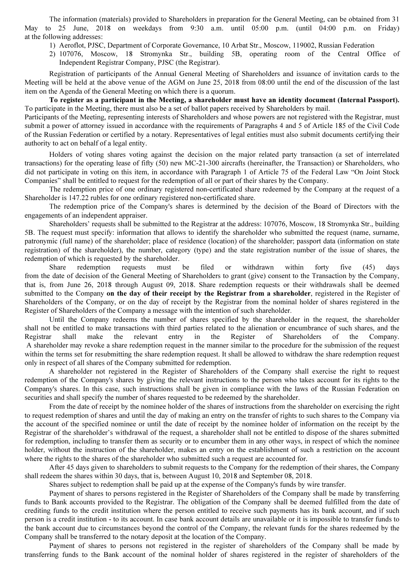The information (materials) provided to Shareholders in preparation for the General Meeting, can be obtained from 31 May to 25 June, 2018 on weekdays from 9:30 a.m. until 05:00 p.m. (until 04:00 p.m. on Friday) at the following addresses:

- 1) Aeroflot, PJSC, Department of Corporate Governance, 10 Arbat Str., Moscow, 119002, Russian Federation
- 2) 107076, Moscow, 18 Stromynka Str., building 5B, operating room of the Central Office of Independent Registrar Company, PJSC (the Registrar).

Registration of participants of the Annual General Meeting of Shareholders and issuance of invitation cards to the Meeting will be held at the above venue of the AGM on June 25, 2018 from 08:00 until the end of the discussion of the last item on the Agenda of the General Meeting on which there is a quorum.

To register as a participant in the Meeting, a shareholder must have an identity document (Internal Passport). To participate in the Meeting, there must also be a set of ballot papers received by Shareholders by mail.

Participants of the Meeting, representing interests of Shareholders and whose powers are not registered with the Registrar, must submit a power of attorney issued in accordance with the requirements of Paragraphs 4 and 5 of Article 185 of the Civil Code of the Russian Federation or certified by a notary. Representatives of legal entities must also submit documents certifying their authority to act on behalf of a legal entity.

Holders of voting shares voting against the decision on the major related party transaction (a set of interrelated transactions) for the operating lease of fifty (50) new МС-21-300 aircrafts (hereinafter, the Transaction) or Shareholders, who did not participate in voting on this item, in accordance with Paragraph 1 of Article 75 of the Federal Law "On Joint Stock Companies" shall be entitled to request for the redemption of all or part of their shares by the Company.

The redemption price of one ordinary registered non-certificated share redeemed by the Company at the request of a Shareholder is 147.22 rubles for one ordinary registered non-certificated share.

The redemption price of the Company's shares is determined by the decision of the Board of Directors with the engagements of an independent appraiser.

Shareholders' requests shall be submitted to the Registrar at the address: 107076, Moscow, 18 Stromynka Str., building 5B. The request must specify: information that allows to identify the shareholder who submitted the request (name, surname, patronymic (full name) of the shareholder; place of residence (location) of the shareholder; passport data (information on state registration) of the shareholder), the number, category (type) and the state registration number of the issue of shares, the redemption of which is requested by the shareholder.

Share redemption requests must be filed or withdrawn within forty five (45) days from the date of decision of the General Meeting of Shareholders to grant (give) consent to the Transaction by the Company, that is, from June 26, 2018 through August 09, 2018. Share redemption requests or their withdrawals shall be deemed submitted to the Company on the day of their receipt by the Registrar from a shareholder, registered in the Register of Shareholders of the Company, or on the day of receipt by the Registrar from the nominal holder of shares registered in the Register of Shareholders of the Company a message with the intention of such shareholder.

Until the Company redeems the number of shares specified by the shareholder in the request, the shareholder shall not be entitled to make transactions with third parties related to the alienation or encumbrance of such shares, and the Registrar shall make the relevant entry in the Register of Shareholders of the Company. A shareholder may revoke a share redemption request in the manner similar to the procedure for the submission of the request within the terms set for resubmitting the share redemption request. It shall be allowed to withdraw the share redemption request only in respect of all shares of the Company submitted for redemption.

A shareholder not registered in the Register of Shareholders of the Company shall exercise the right to request redemption of the Company's shares by giving the relevant instructions to the person who takes account for its rights to the Company's shares. In this case, such instructions shall be given in compliance with the laws of the Russian Federation on securities and shall specify the number of shares requested to be redeemed by the shareholder.

From the date of receipt by the nominee holder of the shares of instructions from the shareholder on exercising the right to request redemption of shares and until the day of making an entry on the transfer of rights to such shares to the Company via the account of the specified nominee or until the date of receipt by the nominee holder of information on the receipt by the Registrar of the shareholder's withdrawal of the request, a shareholder shall not be entitled to dispose of the shares submitted for redemption, including to transfer them as security or to encumber them in any other ways, in respect of which the nominee holder, without the instruction of the shareholder, makes an entry on the establishment of such a restriction on the account where the rights to the shares of the shareholder who submitted such a request are accounted for.

After 45 days given to shareholders to submit requests to the Company for the redemption of their shares, the Company shall redeem the shares within 30 days, that is, between August 10, 2018 and September 08, 2018.

Shares subject to redemption shall be paid up at the expense of the Company's funds by wire transfer.

Payment of shares to persons registered in the Register of Shareholders of the Company shall be made by transferring funds to Bank accounts provided to the Registrar. The obligation of the Company shall be deemed fulfilled from the date of crediting funds to the credit institution where the person entitled to receive such payments has its bank account, and if such person is a credit institution - to its account. In case bank account details are unavailable or it is impossible to transfer funds to the bank account due to circumstances beyond the control of the Company, the relevant funds for the shares redeemed by the Company shall be transferred to the notary deposit at the location of the Company.

Payment of shares to persons not registered in the register of shareholders of the Company shall be made by transferring funds to the Bank account of the nominal holder of shares registered in the register of shareholders of the